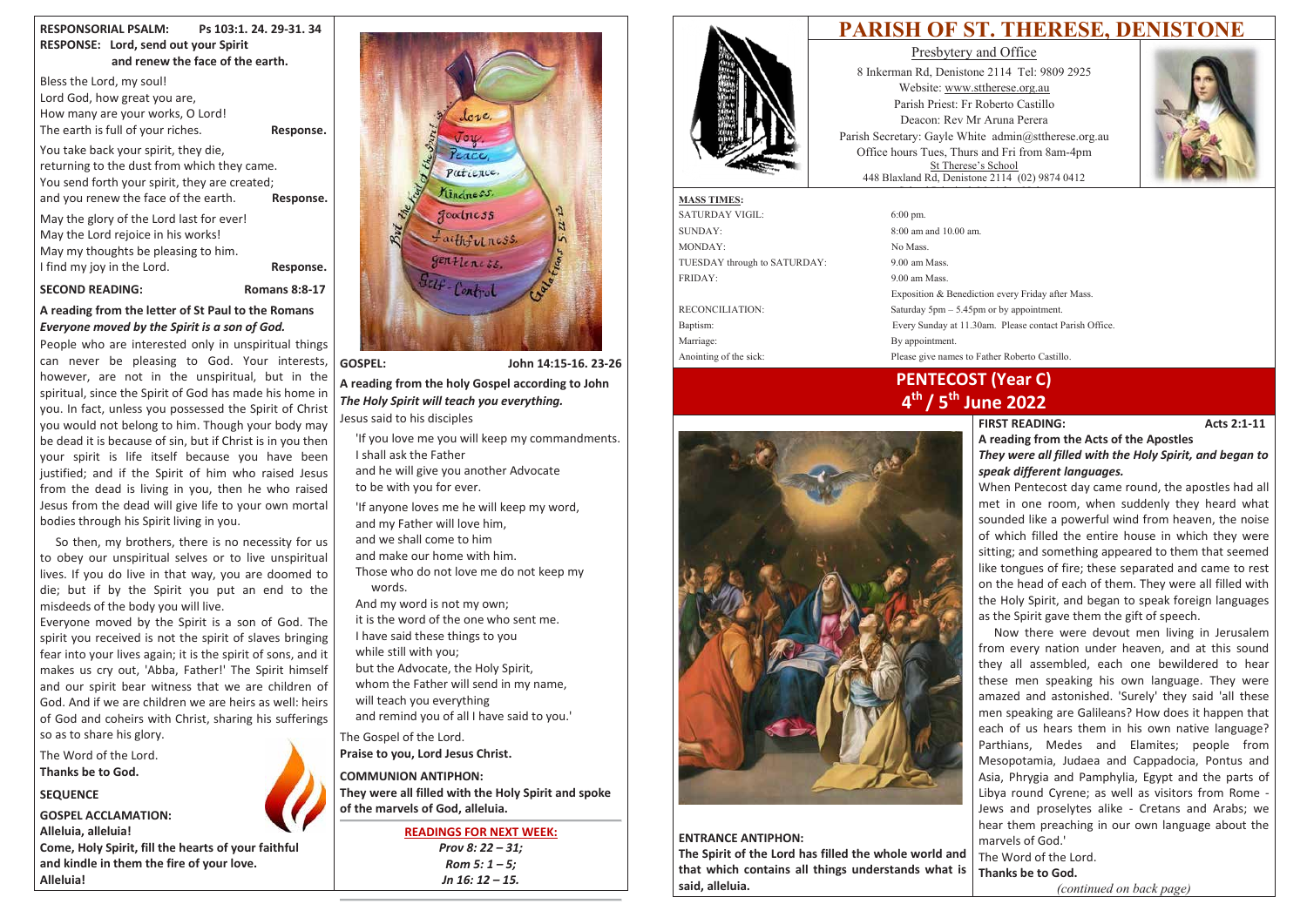# **PARISH OF ST. THERESE, DENISTONE**



iction every Friday after Mass. ipm or by appointment. 30am. Please contact Parish Office.

Father Roberto Castillo.

**FIRST READING: Acts 2:1-11** 

Presbytery and Office 8 Inkerman Rd, Denistone 2114 Tel: 9809 2925 Website: www.sttherese.org.au Parish Priest: Fr Roberto Castillo Deacon: Rev Mr Aruna Perera Parish Secretary: Gayle White admin@sttherese.org.au Office hours Tues, Thurs and Fri from 8am-4pm St Therese's School 448 Blaxland Rd, Denistone 2114 (02) 9874 0412

| <b>MASS TIMES:</b>           |                                                        |  |
|------------------------------|--------------------------------------------------------|--|
| <b>SATURDAY VIGIL:</b>       | $6:00 \text{ pm}$ .                                    |  |
| SUNDAY:                      | $8:00$ am and $10.00$ am.                              |  |
| MONDAY:                      | No Mass.                                               |  |
| TUESDAY through to SATURDAY: | $9.00$ am Mass.                                        |  |
| <b>FRIDAY:</b>               | $9.00$ am Mass.                                        |  |
|                              | Exposition & Benediction every Friday                  |  |
| RECONCILIATION:              | Saturday $5 \text{pm} - 5.45 \text{pm}$ or by appointm |  |
| Baptism:                     | Every Sunday at 11.30am. Please conta                  |  |
| Marriage:                    | By appointment.                                        |  |
| Anointing of the sick:       | Please give names to Father Roberto Ca                 |  |
|                              | ________                                               |  |

# **PENTECOST (Year C) 4th / 5th June 2022**



## **ENTRANCE ANTIPHON:**

**The Spirit of the Lord has filled the whole world and that which contains all things understands what is said, alleluia.**

**A reading from the Acts of the Apostles** *They were all filled with the Holy Spirit, and began to speak different languages.*

Bless the Lord, my soul! Lord God, how great you are, How many are your works, O Lord! The earth is full of your riches. **Response.** You take back your spirit, they die, returning to the dust from which they came. You send forth your spirit, they are created; and you renew the face of the earth. **Response.** May the glory of the Lord last for ever! May the Lord rejoice in his works! May my thoughts be pleasing to him. I find my joy in the Lord. **Response.** 

## SECOND READING: Romans 8:8-17

When Pentecost day came round, the apostles had all met in one room, when suddenly they heard what sounded like a powerful wind from heaven, the noise of which filled the entire house in which they were sitting; and something appeared to them that seemed like tongues of fire; these separated and came to rest on the head of each of them. They were all filled with the Holy Spirit, and began to speak foreign languages as the Spirit gave them the gift of speech.

Now there were devout men living in Jerusalem from every nation under heaven, and at this sound they all assembled, each one bewildered to hear these men speaking his own language. They were amazed and astonished. 'Surely' they said 'all these men speaking are Galileans? How does it happen that each of us hears them in his own native language? Parthians, Medes and Elamites; people from Mesopotamia, Judaea and Cappadocia, Pontus and Asia, Phrygia and Pamphylia, Egypt and the parts of Libya round Cyrene; as well as visitors from Rome - Jews and proselytes alike - Cretans and Arabs; we hear them preaching in our own language about the marvels of God.'

The Word of the Lord.

**Thanks be to God.**

*(continued on back page)*

## **RESPONSORIAL PSALM: Ps 103:1. 24. 29-31. 34 RESPONSE: Lord, send out your Spirit and renew the face of the earth.**

**A reading from the letter of St Paul to the Romans** *Everyone moved by the Spirit is a son of God.*

People who are interested only in unspiritual things can never be pleasing to God. Your interests, however, are not in the unspiritual, but in the spiritual, since the Spirit of God has made his home in you. In fact, unless you possessed the Spirit of Christ you would not belong to him. Though your body may be dead it is because of sin, but if Christ is in you then your spirit is life itself because you have been justified; and if the Spirit of him who raised Jesus from the dead is living in you, then he who raised Jesus from the dead will give life to your own mortal bodies through his Spirit living in you.

So then, my brothers, there is no necessity for us to obey our unspiritual selves or to live unspiritual lives. If you do live in that way, you are doomed to die; but if by the Spirit you put an end to the misdeeds of the body you will live.

Everyone moved by the Spirit is a son of God. The spirit you received is not the spirit of slaves bringing fear into your lives again; it is the spirit of sons, and it makes us cry out, 'Abba, Father!' The Spirit himself and our spirit bear witness that we are children of God. And if we are children we are heirs as well: heirs of God and coheirs with Christ, sharing his sufferings so as to share his glory.

The Word of the Lord.

**Thanks be to God.**

**SEQUENCE**

**GOSPEL ACCLAMATION: Alleluia, alleluia! Come, Holy Spirit, fill the hearts of your faithful and kindle in them the fire of your love. Alleluia!**



### **GOSPEL: John 14:15-16. 23-26**

**A reading from the holy Gospel according to John** *The Holy Spirit will teach you everything.* Jesus said to his disciples

'If you love me you will keep my commandments. I shall ask the Father and he will give you another Advocate

to be with you for ever.

'If anyone loves me he will keep my word, and my Father will love him,

and we shall come to him

and make our home with him.

Those who do not love me do not keep my words.

And my word is not my own;

it is the word of the one who sent me.

I have said these things to you

while still with you;

but the Advocate, the Holy Spirit,

whom the Father will send in my name,

will teach you everything

and remind you of all I have said to you.'

The Gospel of the Lord.

**Praise to you, Lord Jesus Christ.**

**COMMUNION ANTIPHON:** 

**They were all filled with the Holy Spirit and spoke of the marvels of God, alleluia.**

## **READINGS FOR NEXT WEEK:**

*Prov 8: 22 – 31; Rom 5: 1 – 5; Jn 16: 12 – 15.*